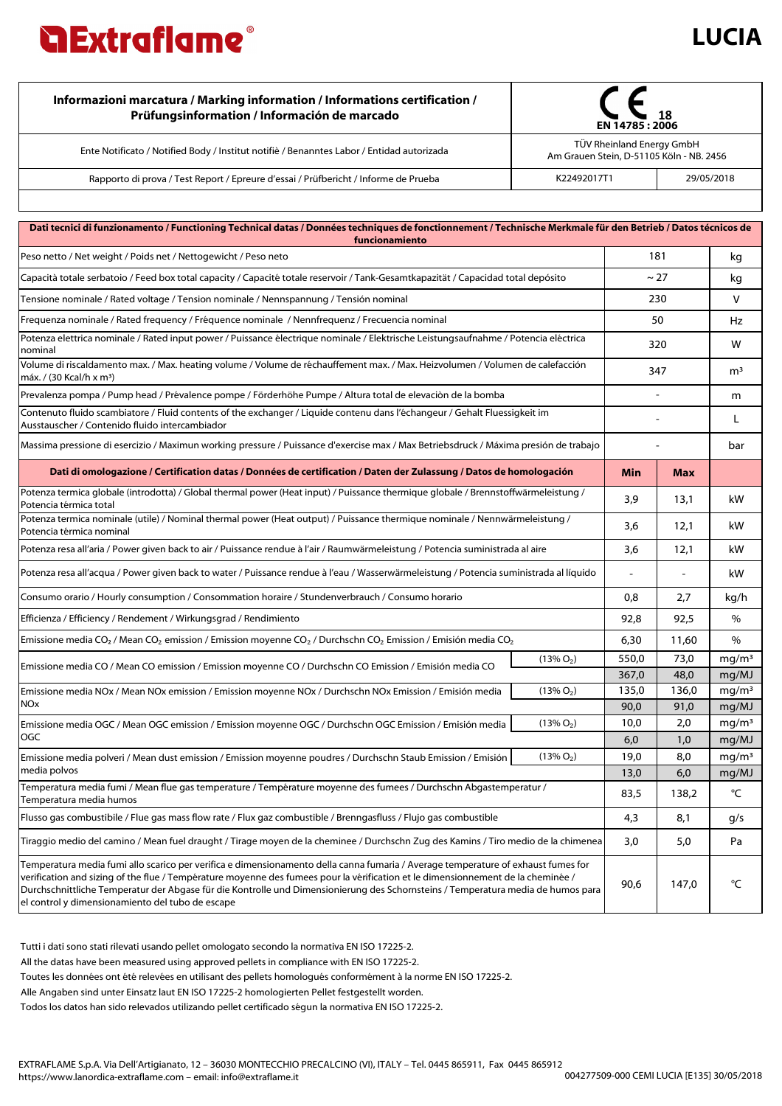

| Informazioni marcatura / Marking information / Informations certification /<br>Prüfungsinformation / Información de marcado | 18<br>EN 14785: 2006                                                  |            |  |
|-----------------------------------------------------------------------------------------------------------------------------|-----------------------------------------------------------------------|------------|--|
| Ente Notificato / Notified Body / Institut notifiè / Benanntes Labor / Entidad autorizada                                   | TÜV Rheinland Energy GmbH<br>Am Grauen Stein, D-51105 Köln - NB. 2456 |            |  |
| Rapporto di prova / Test Report / Epreure d'essai / Prüfbericht / Informe de Prueba                                         | K22492017T1                                                           | 29/05/2018 |  |
|                                                                                                                             |                                                                       |            |  |

| Dati tecnici di funzionamento / Functioning Technical datas / Données techniques de fonctionnement / Technische Merkmale für den Betrieb / Datos técnicos de<br>funcionamiento                                                                                                                                                                                                                                                                                |              |             |            |                            |  |  |  |
|---------------------------------------------------------------------------------------------------------------------------------------------------------------------------------------------------------------------------------------------------------------------------------------------------------------------------------------------------------------------------------------------------------------------------------------------------------------|--------------|-------------|------------|----------------------------|--|--|--|
| Peso netto / Net weight / Poids net / Nettogewicht / Peso neto                                                                                                                                                                                                                                                                                                                                                                                                |              | 181         |            | kg                         |  |  |  |
| Capacità totale serbatoio / Feed box total capacity / Capacité totale reservoir / Tank-Gesamtkapazität / Capacidad total depósito                                                                                                                                                                                                                                                                                                                             |              | ~27         |            | kg                         |  |  |  |
| Tensione nominale / Rated voltage / Tension nominale / Nennspannung / Tensión nominal                                                                                                                                                                                                                                                                                                                                                                         |              | 230         |            | v                          |  |  |  |
| Frequenza nominale / Rated frequency / Fréquence nominale / Nennfrequenz / Frecuencia nominal                                                                                                                                                                                                                                                                                                                                                                 |              | 50          |            | Hz                         |  |  |  |
| Potenza elettrica nominale / Rated input power / Puissance électrique nominale / Elektrische Leistungsaufnahme / Potencia eléctrica<br>nominal                                                                                                                                                                                                                                                                                                                |              | 320         |            | w                          |  |  |  |
| Volume di riscaldamento max. / Max. heating volume / Volume de réchauffement max. / Max. Heizvolumen / Volumen de calefacción<br>máx. / (30 Kcal/h x m <sup>3</sup> )                                                                                                                                                                                                                                                                                         |              | 347         |            | m <sup>3</sup>             |  |  |  |
| Prevalenza pompa / Pump head / Prévalence pompe / Förderhöhe Pumpe / Altura total de elevaciòn de la bomba                                                                                                                                                                                                                                                                                                                                                    |              |             |            | m                          |  |  |  |
| Contenuto fluido scambiatore / Fluid contents of the exchanger / Liquide contenu dans l'échangeur / Gehalt Fluessigkeit im<br>Ausstauscher / Contenido fluido intercambiador                                                                                                                                                                                                                                                                                  |              |             |            | L                          |  |  |  |
| Massima pressione di esercizio / Maximun working pressure / Puissance d'exercise max / Max Betriebsdruck / Máxima presión de trabajo                                                                                                                                                                                                                                                                                                                          |              |             |            | bar                        |  |  |  |
| Dati di omologazione / Certification datas / Données de certification / Daten der Zulassung / Datos de homologación                                                                                                                                                                                                                                                                                                                                           |              | Min         | <b>Max</b> |                            |  |  |  |
| Potenza termica globale (introdotta) / Global thermal power (Heat input) / Puissance thermique globale / Brennstoffwärmeleistung /<br>Potencia térmica total                                                                                                                                                                                                                                                                                                  |              | 3,9         | 13,1       | kW                         |  |  |  |
| Potenza termica nominale (utile) / Nominal thermal power (Heat output) / Puissance thermique nominale / Nennwärmeleistung /<br>Potencia térmica nominal                                                                                                                                                                                                                                                                                                       |              | 3,6         | 12,1       | kW                         |  |  |  |
| Potenza resa all'aria / Power given back to air / Puissance rendue à l'air / Raumwärmeleistung / Potencia suministrada al aire                                                                                                                                                                                                                                                                                                                                |              | 3,6         | 12,1       | kW                         |  |  |  |
| Potenza resa all'acqua / Power given back to water / Puissance rendue à l'eau / Wasserwärmeleistung / Potencia suministrada al líquido                                                                                                                                                                                                                                                                                                                        |              |             |            | kW                         |  |  |  |
| Consumo orario / Hourly consumption / Consommation horaire / Stundenverbrauch / Consumo horario                                                                                                                                                                                                                                                                                                                                                               |              | 0,8         | 2,7        | kg/h                       |  |  |  |
| Efficienza / Efficiency / Rendement / Wirkungsgrad / Rendimiento                                                                                                                                                                                                                                                                                                                                                                                              |              | 92,8        | 92,5       | %                          |  |  |  |
| Emissione media CO <sub>2</sub> / Mean CO <sub>2</sub> emission / Emission moyenne CO <sub>2</sub> / Durchschn CO <sub>2</sub> Emission / Emisión media CO <sub>2</sub>                                                                                                                                                                                                                                                                                       |              | 6,30        | 11,60      | %                          |  |  |  |
| Emissione media CO / Mean CO emission / Emission moyenne CO / Durchschn CO Emission / Emisión media CO                                                                                                                                                                                                                                                                                                                                                        | $(13\% O_2)$ | 550,0       | 73,0       | mg/m <sup>3</sup>          |  |  |  |
|                                                                                                                                                                                                                                                                                                                                                                                                                                                               |              | 367,0       | 48,0       | mq/MJ                      |  |  |  |
| Emissione media NOx / Mean NOx emission / Emission moyenne NOx / Durchschn NOx Emission / Emisión media<br><b>NO<sub>x</sub></b>                                                                                                                                                                                                                                                                                                                              | $(13\% O_2)$ | 135,0       | 136,0      | mg/m <sup>3</sup>          |  |  |  |
|                                                                                                                                                                                                                                                                                                                                                                                                                                                               |              | 90,0        | 91,0       | mg/MJ                      |  |  |  |
| Emissione media OGC / Mean OGC emission / Emission moyenne OGC / Durchschn OGC Emission / Emisión media<br><b>OGC</b>                                                                                                                                                                                                                                                                                                                                         | $(13\% O_2)$ | 10,0<br>6,0 | 2,0<br>1,0 | mg/m <sup>3</sup>          |  |  |  |
| Emissione media polveri / Mean dust emission / Emission moyenne poudres / Durchschn Staub Emission / Emisión                                                                                                                                                                                                                                                                                                                                                  | $(13\% O_2)$ | 19,0        | 8,0        | mg/MJ<br>mg/m <sup>3</sup> |  |  |  |
| media polvos                                                                                                                                                                                                                                                                                                                                                                                                                                                  |              | 13,0        | 6,0        | mq/MJ                      |  |  |  |
| Temperatura media fumi / Mean flue gas temperature / Température moyenne des fumees / Durchschn Abgastemperatur /<br>Temperatura media humos                                                                                                                                                                                                                                                                                                                  |              | 83,5        | 138,2      | °C                         |  |  |  |
| Flusso gas combustibile / Flue gas mass flow rate / Flux gaz combustible / Brenngasfluss / Flujo gas combustible                                                                                                                                                                                                                                                                                                                                              |              | 4,3         | 8,1        | g/s                        |  |  |  |
| Tiraggio medio del camino / Mean fuel draught / Tirage moyen de la cheminee / Durchschn Zug des Kamins / Tiro medio de la chimenea                                                                                                                                                                                                                                                                                                                            |              | 3,0         | 5,0        | Pa                         |  |  |  |
| Temperatura media fumi allo scarico per verifica e dimensionamento della canna fumaria / Average temperature of exhaust fumes for<br>verification and sizing of the flue / Température moyenne des fumees pour la vérification et le dimensionnement de la cheminée /<br>Durchschnittliche Temperatur der Abgase für die Kontrolle und Dimensionierung des Schornsteins / Temperatura media de humos para<br>el control y dimensionamiento del tubo de escape |              | 90,6        | 147,0      | °C                         |  |  |  |

Tutti i dati sono stati rilevati usando pellet omologato secondo la normativa EN ISO 17225-2.

All the datas have been measured using approved pellets in compliance with EN ISO 17225-2.

Toutes les données ont été relevées en utilisant des pellets homologués conformément à la norme EN ISO 17225-2.

Alle Angaben sind unter Einsatz laut EN ISO 17225-2 homologierten Pellet festgestellt worden.

Todos los datos han sido relevados utilizando pellet certificado ségun la normativa EN ISO 17225-2.